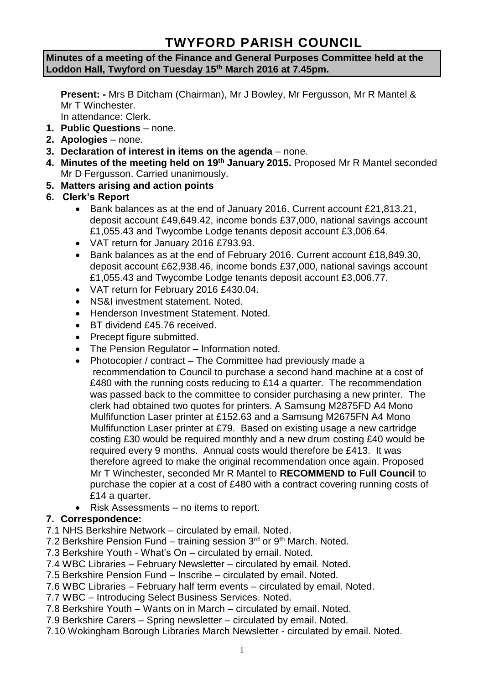# **TWYFORD PARISH COUNCIL**

#### **Minutes of a meeting of the Finance and General Purposes Committee held at the Loddon Hall, Twyford on Tuesday 15th March 2016 at 7.45pm.**

**Present: -** Mrs B Ditcham (Chairman), Mr J Bowley, Mr Fergusson, Mr R Mantel & Mr T Winchester.

In attendance: Clerk.

- **1. Public Questions** none.
- **2. Apologies** none.
- **3. Declaration of interest in items on the agenda**  none.
- **4. Minutes of the meeting held on 19th January 2015.** Proposed Mr R Mantel seconded Mr D Fergusson. Carried unanimously.
- **5. Matters arising and action points**
- **6. Clerk's Report**
	- Bank balances as at the end of January 2016. Current account £21,813.21, deposit account £49,649.42, income bonds £37,000, national savings account £1,055.43 and Twycombe Lodge tenants deposit account £3,006.64.
	- VAT return for January 2016 £793.93.
	- Bank balances as at the end of February 2016. Current account £18,849,30, deposit account £62,938.46, income bonds £37,000, national savings account £1,055.43 and Twycombe Lodge tenants deposit account £3,006.77.
	- VAT return for February 2016 £430.04.
	- NS&I investment statement. Noted.
	- Henderson Investment Statement. Noted.
	- BT dividend £45.76 received.
	- Precept figure submitted.
	- The Pension Regulator Information noted.
	- Photocopier / contract The Committee had previously made a recommendation to Council to purchase a second hand machine at a cost of £480 with the running costs reducing to £14 a quarter. The recommendation was passed back to the committee to consider purchasing a new printer. The clerk had obtained two quotes for printers. A Samsung M2875FD A4 Mono Mulfifunction Laser printer at £152.63 and a Samsung M2675FN A4 Mono Mulfifunction Laser printer at £79. Based on existing usage a new cartridge costing £30 would be required monthly and a new drum costing £40 would be required every 9 months. Annual costs would therefore be £413. It was therefore agreed to make the original recommendation once again. Proposed Mr T Winchester, seconded Mr R Mantel to **RECOMMEND to Full Council** to purchase the copier at a cost of £480 with a contract covering running costs of £14 a quarter.
	- Risk Assessments no items to report.

## **7. Correspondence:**

- 7.1 NHS Berkshire Network circulated by email. Noted.
- 7.2 Berkshire Pension Fund training session  $3<sup>rd</sup>$  or  $9<sup>th</sup>$  March. Noted.
- 7.3 Berkshire Youth What's On circulated by email. Noted.
- 7.4 WBC Libraries February Newsletter circulated by email. Noted.
- 7.5 Berkshire Pension Fund Inscribe circulated by email. Noted.
- 7.6 WBC Libraries February half term events circulated by email. Noted.
- 7.7 WBC Introducing Select Business Services. Noted.
- 7.8 Berkshire Youth Wants on in March circulated by email. Noted.
- 7.9 Berkshire Carers Spring newsletter circulated by email. Noted.
- 7.10 Wokingham Borough Libraries March Newsletter circulated by email. Noted.